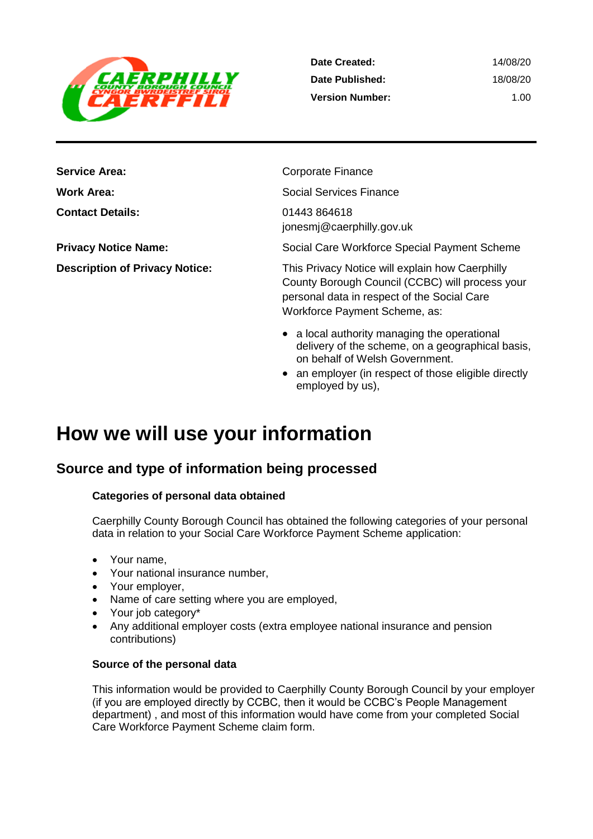

| Date Created:          | 14/08/20 |
|------------------------|----------|
| Date Published:        | 18/08/20 |
| <b>Version Number:</b> | 1 Q O    |

**Service Area:** Corporate Finance **Contact Details:** 01443 864618

**Work Area:** Social Services Finance jonesmj@caerphilly.gov.uk

**Privacy Notice Name:** Social Care Workforce Special Payment Scheme

**Description of Privacy Notice:** This Privacy Notice will explain how Caerphilly County Borough Council (CCBC) will process your personal data in respect of the Social Care Workforce Payment Scheme, as:

- a local authority managing the operational delivery of the scheme, on a geographical basis, on behalf of Welsh Government.
- an employer (in respect of those eligible directly employed by us),

# **How we will use your information**

# **Source and type of information being processed**

### **Categories of personal data obtained**

Caerphilly County Borough Council has obtained the following categories of your personal data in relation to your Social Care Workforce Payment Scheme application:

- Your name,
- Your national insurance number,
- Your employer,
- Name of care setting where you are employed,
- Your job category\*
- Any additional employer costs (extra employee national insurance and pension contributions)

### **Source of the personal data**

This information would be provided to Caerphilly County Borough Council by your employer (if you are employed directly by CCBC, then it would be CCBC's People Management department) , and most of this information would have come from your completed Social Care Workforce Payment Scheme claim form.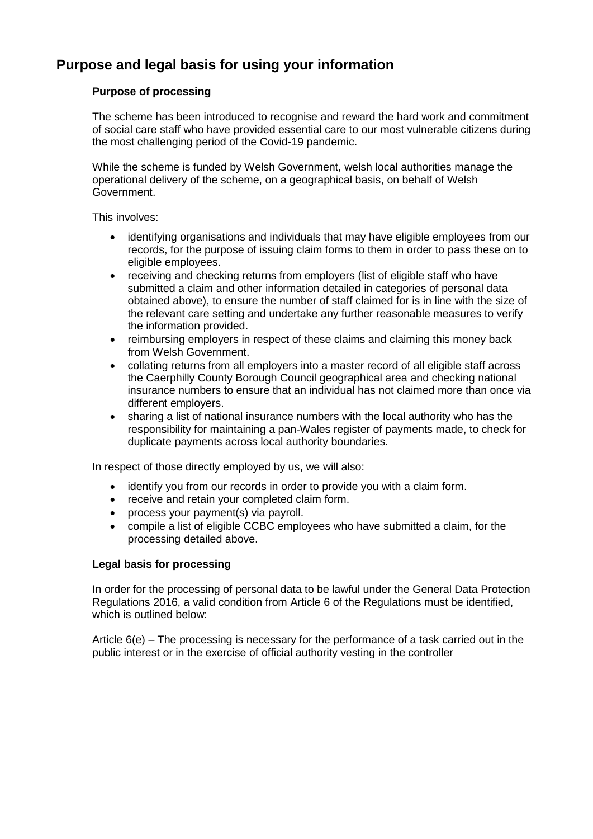# **Purpose and legal basis for using your information**

### **Purpose of processing**

The scheme has been introduced to recognise and reward the hard work and commitment of social care staff who have provided essential care to our most vulnerable citizens during the most challenging period of the Covid-19 pandemic.

While the scheme is funded by Welsh Government, welsh local authorities manage the operational delivery of the scheme, on a geographical basis, on behalf of Welsh Government.

This involves:

- identifying organisations and individuals that may have eligible employees from our records, for the purpose of issuing claim forms to them in order to pass these on to eligible employees.
- receiving and checking returns from employers (list of eligible staff who have submitted a claim and other information detailed in categories of personal data obtained above), to ensure the number of staff claimed for is in line with the size of the relevant care setting and undertake any further reasonable measures to verify the information provided.
- reimbursing employers in respect of these claims and claiming this money back from Welsh Government.
- collating returns from all employers into a master record of all eligible staff across the Caerphilly County Borough Council geographical area and checking national insurance numbers to ensure that an individual has not claimed more than once via different employers.
- sharing a list of national insurance numbers with the local authority who has the responsibility for maintaining a pan-Wales register of payments made, to check for duplicate payments across local authority boundaries.

In respect of those directly employed by us, we will also:

- identify you from our records in order to provide you with a claim form.
- receive and retain your completed claim form.
- process your payment(s) via payroll.
- compile a list of eligible CCBC employees who have submitted a claim, for the processing detailed above.

#### **Legal basis for processing**

In order for the processing of personal data to be lawful under the General Data Protection Regulations 2016, a valid condition from Article 6 of the Regulations must be identified, which is outlined below:

Article 6(e) – The processing is necessary for the performance of a task carried out in the public interest or in the exercise of official authority vesting in the controller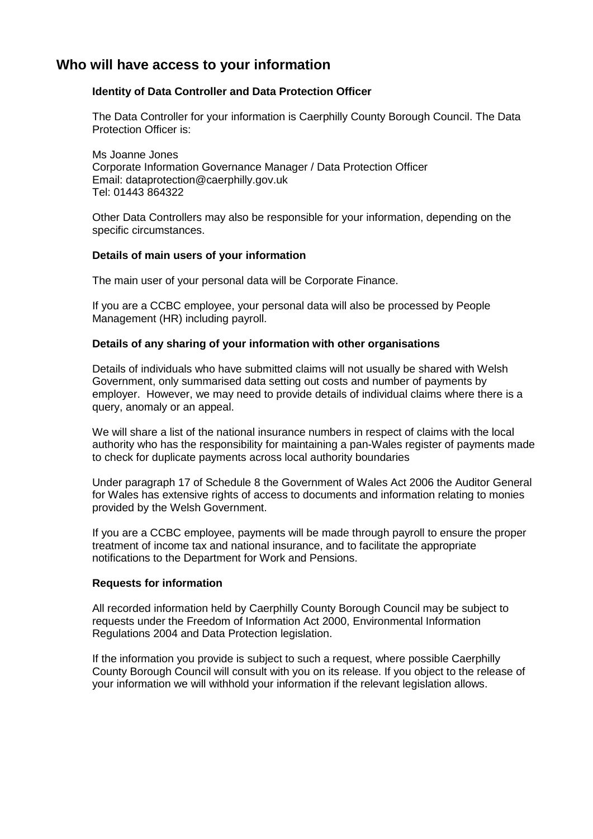### **Who will have access to your information**

#### **Identity of Data Controller and Data Protection Officer**

The Data Controller for your information is Caerphilly County Borough Council. The Data Protection Officer is:

Ms Joanne Jones Corporate Information Governance Manager / Data Protection Officer Email: dataprotection@caerphilly.gov.uk Tel: 01443 864322

Other Data Controllers may also be responsible for your information, depending on the specific circumstances.

#### **Details of main users of your information**

The main user of your personal data will be Corporate Finance.

If you are a CCBC employee, your personal data will also be processed by People Management (HR) including payroll.

#### **Details of any sharing of your information with other organisations**

Details of individuals who have submitted claims will not usually be shared with Welsh Government, only summarised data setting out costs and number of payments by employer. However, we may need to provide details of individual claims where there is a query, anomaly or an appeal.

We will share a list of the national insurance numbers in respect of claims with the local authority who has the responsibility for maintaining a pan-Wales register of payments made to check for duplicate payments across local authority boundaries

Under paragraph 17 of Schedule 8 the Government of Wales Act 2006 the Auditor General for Wales has extensive rights of access to documents and information relating to monies provided by the Welsh Government.

If you are a CCBC employee, payments will be made through payroll to ensure the proper treatment of income tax and national insurance, and to facilitate the appropriate notifications to the Department for Work and Pensions.

#### **Requests for information**

All recorded information held by Caerphilly County Borough Council may be subject to requests under the Freedom of Information Act 2000, Environmental Information Regulations 2004 and Data Protection legislation.

If the information you provide is subject to such a request, where possible Caerphilly County Borough Council will consult with you on its release. If you object to the release of your information we will withhold your information if the relevant legislation allows.